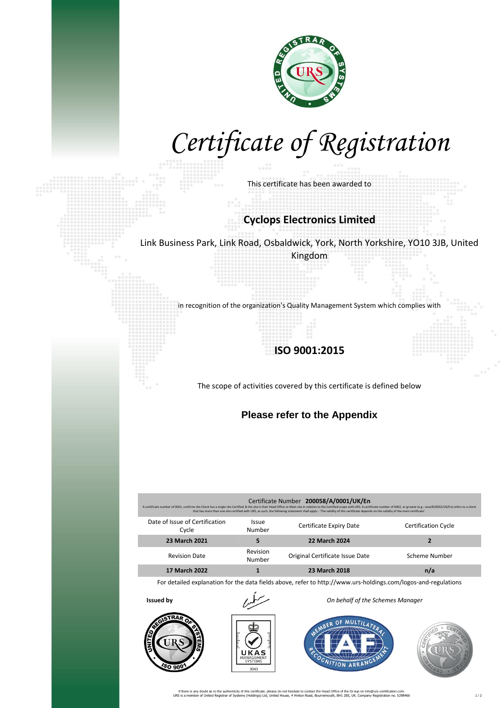

## *Certificate of Registration*

This certificate has been awarded to

## **Cyclops Electronics Limited**

Link Business Park, Link Road, Osbaldwick, York, North Yorkshire, YO10 3JB, United Kingdom

in recognition of the organization's Quality Management System which complies with

## **ISO 9001:2015**

The scope of activities covered by this certificate is defined below

**Please refer to the Appendix**

| Certificate Number 200058/A/0001/UK/En<br>A certificate number of 0001, confirms the Client has a single site Certified & the site is their Head Office or Main site in relation to the Certified scope with URS. A certificate number of 0002, or greater (e.g.: xxx/B/<br>that has more than one site certified with URS, as such, the following statement shall apply - 'The validity of this certificate depends on the validity of the main certificate'. |                        |                                 |                            |  |
|----------------------------------------------------------------------------------------------------------------------------------------------------------------------------------------------------------------------------------------------------------------------------------------------------------------------------------------------------------------------------------------------------------------------------------------------------------------|------------------------|---------------------------------|----------------------------|--|
| Date of Issue of Certification<br>Cycle                                                                                                                                                                                                                                                                                                                                                                                                                        | <b>Issue</b><br>Number | Certificate Expiry Date         | <b>Certification Cycle</b> |  |
| 23 March 2021                                                                                                                                                                                                                                                                                                                                                                                                                                                  | 5                      | <b>22 March 2024</b>            |                            |  |
| <b>Revision Date</b>                                                                                                                                                                                                                                                                                                                                                                                                                                           | Revision<br>Number     | Original Certificate Issue Date | Scheme Number              |  |
| <b>17 March 2022</b>                                                                                                                                                                                                                                                                                                                                                                                                                                           |                        | 23 March 2018                   | n/a                        |  |
|                                                                                                                                                                                                                                                                                                                                                                                                                                                                |                        |                                 |                            |  |

For detailed explanation for the data fields above, refer to http://www.urs-holdings.com/logos-and-regulations





**Issued by** *On behalf of the Schemes Manager*